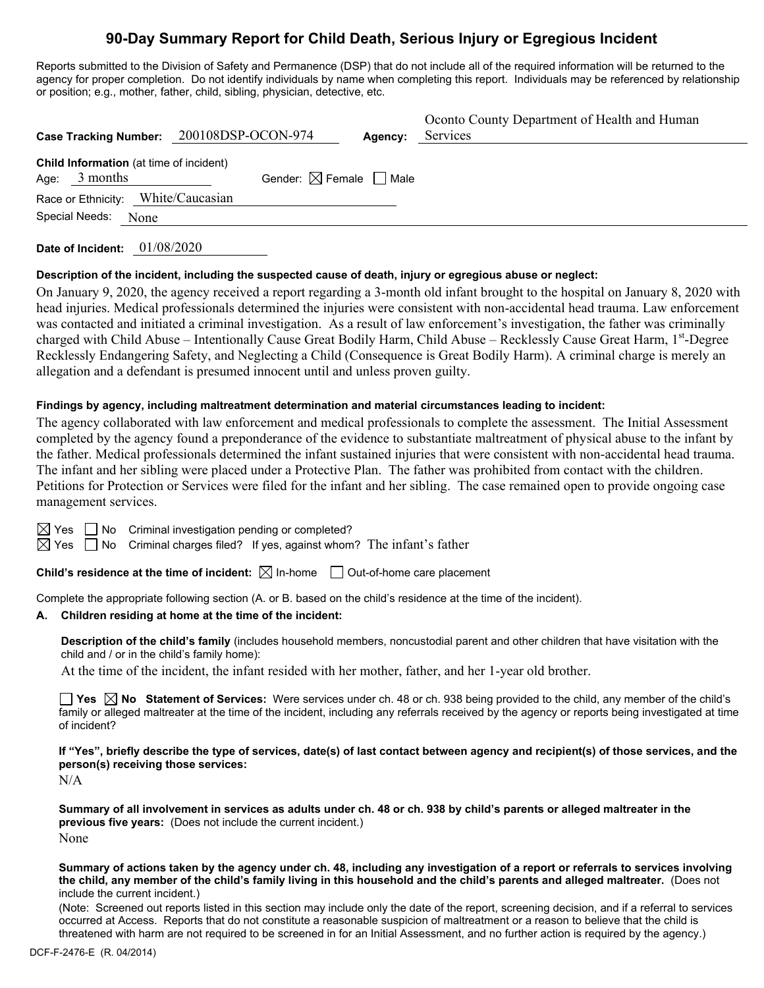# **90-Day Summary Report for Child Death, Serious Injury or Egregious Incident**

Reports submitted to the Division of Safety and Permanence (DSP) that do not include all of the required information will be returned to the agency for proper completion. Do not identify individuals by name when completing this report. Individuals may be referenced by relationship or position; e.g., mother, father, child, sibling, physician, detective, etc.

| Case Tracking Number: 200108DSP-OCON-974                           |                                        | Agency: | Oconto County Department of Health and Human<br>Services |
|--------------------------------------------------------------------|----------------------------------------|---------|----------------------------------------------------------|
| <b>Child Information</b> (at time of incident)<br>3 months<br>Age: | Gender: $\boxtimes$ Female $\Box$ Male |         |                                                          |
| Race or Ethnicity: White/Caucasian                                 |                                        |         |                                                          |
| Special Needs:<br>None                                             |                                        |         |                                                          |
|                                                                    |                                        |         |                                                          |

**Date of Incident:** 01/08/2020

#### **Description of the incident, including the suspected cause of death, injury or egregious abuse or neglect:**

On January 9, 2020, the agency received a report regarding a 3-month old infant brought to the hospital on January 8, 2020 with head injuries. Medical professionals determined the injuries were consistent with non-accidental head trauma. Law enforcement was contacted and initiated a criminal investigation. As a result of law enforcement's investigation, the father was criminally charged with Child Abuse - Intentionally Cause Great Bodily Harm, Child Abuse - Recklessly Cause Great Harm, 1st-Degree Recklessly Endangering Safety, and Neglecting a Child (Consequence is Great Bodily Harm). A criminal charge is merely an allegation and a defendant is presumed innocent until and unless proven guilty.

#### **Findings by agency, including maltreatment determination and material circumstances leading to incident:**

The agency collaborated with law enforcement and medical professionals to complete the assessment. The Initial Assessment completed by the agency found a preponderance of the evidence to substantiate maltreatment of physical abuse to the infant by the father. Medical professionals determined the infant sustained injuries that were consistent with non-accidental head trauma. The infant and her sibling were placed under a Protective Plan. The father was prohibited from contact with the children. Petitions for Protection or Services were filed for the infant and her sibling. The case remained open to provide ongoing case management services.

 $\boxtimes$  Yes  $\Box$  No Criminal investigation pending or completed?

 $\boxtimes$  Yes  $\Box$  No Criminal charges filed? If yes, against whom? The infant's father

**Child's residence at the time of incident:**  $\boxtimes$  In-home  $\Box$  Out-of-home care placement

Complete the appropriate following section (A. or B. based on the child's residence at the time of the incident).

#### **A. Children residing at home at the time of the incident:**

**Description of the child's family** (includes household members, noncustodial parent and other children that have visitation with the child and / or in the child's family home):

At the time of the incident, the infant resided with her mother, father, and her 1-year old brother.

**Yes No Statement of Services:** Were services under ch. 48 or ch. 938 being provided to the child, any member of the child's family or alleged maltreater at the time of the incident, including any referrals received by the agency or reports being investigated at time of incident?

**If "Yes", briefly describe the type of services, date(s) of last contact between agency and recipient(s) of those services, and the person(s) receiving those services:**

N/A

**Summary of all involvement in services as adults under ch. 48 or ch. 938 by child's parents or alleged maltreater in the previous five years:** (Does not include the current incident.) None

**Summary of actions taken by the agency under ch. 48, including any investigation of a report or referrals to services involving the child, any member of the child's family living in this household and the child's parents and alleged maltreater.** (Does not include the current incident.)

(Note: Screened out reports listed in this section may include only the date of the report, screening decision, and if a referral to services occurred at Access. Reports that do not constitute a reasonable suspicion of maltreatment or a reason to believe that the child is threatened with harm are not required to be screened in for an Initial Assessment, and no further action is required by the agency.)